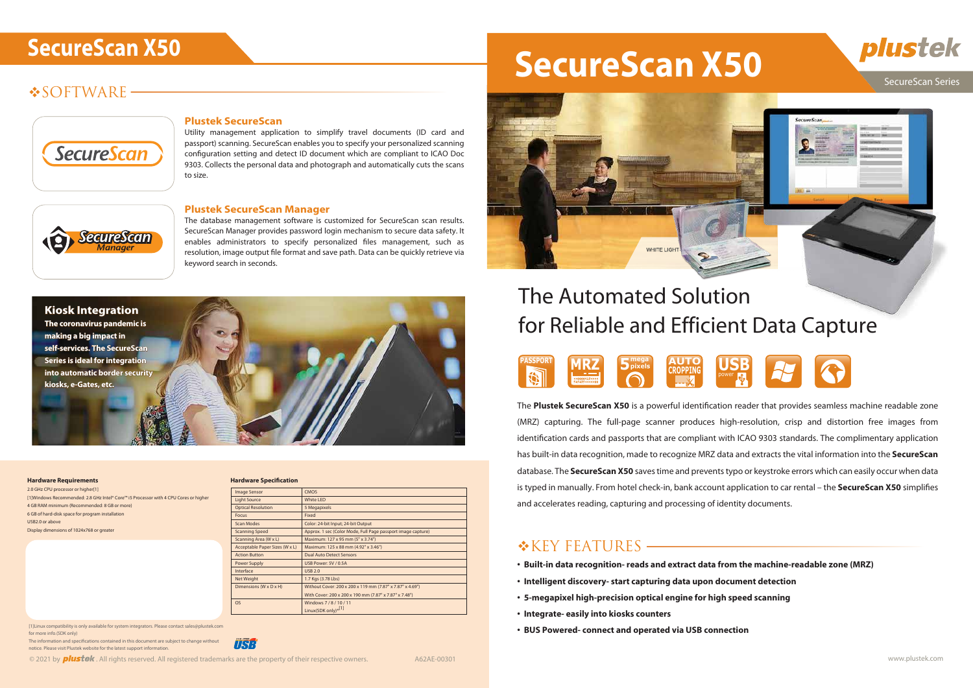# **SOFTWARE**



#### SecureScan Series

#### **Plustek SecureScan**

Utility management application to simplify travel documents (ID card and passport) scanning. SecureScan enables you to specify your personalized scanning configuration setting and detect ID document which are compliant to ICAO Doc 9303. Collects the personal data and photograph and automatically cuts the scans to size.

#### **Plustek SecureScan Manager**

The database management software is customized for SecureScan scan results. SecureScan Manager provides password login mechanism to secure data safety. It enables administrators to specify personalized files management, such as resolution, image output file format and save path. Data can be quickly retrieve via keyword search in seconds.





The **Plustek SecureScan X50** is a powerful identification reader that provides seamless machine readable zone (MRZ) capturing. The full-page scanner produces high-resolution, crisp and distortion free images from identification cards and passports that are compliant with ICAO 9303 standards. The complimentary application has built-in data recognition, made to recognize MRZ data and extracts the vital information into the **SecureScan** database. The **SecureScan X50** saves time and prevents typo or keystroke errors which can easily occur when data is typed in manually. From hotel check-in, bank account application to car rental – the **SecureScan X50** simplifies and accelerates reading, capturing and processing of identity documents.

#### \*KEY FEATURES

# for Reliable and Efficient Data Capture



2.0 GHz CPU processor or higher<sup>[1]</sup> [1]Windows Recommended: 2.8 GHz Intel® Core™ i5 Processor with 4 CPU Cores or higher 4 GB RAM minimum (Recommended: 8 GB or more) 6 GB of hard-disk space for program installation USB2.0 or above Display dimensions of 1024x768 or greater

#### **Hardware Requirements Hardware Specification**

The information and specifications contained in this document are subject to change without notice. Please visit Plustek website for the latest support information.



# SecureScan X50 **SecureScan X50**

- **Built-in data recognition- reads and extract data from the machine-readable zone (MRZ)**
- **Intelligent discovery- start capturing data upon document detection**
- **5-megapixel high-precision optical engine for high speed scanning**
- **Integrate- easily into kiosks counters**
- **BUS Powered- connect and operated via USB connection**





| Hardware Specification         |                                                              |
|--------------------------------|--------------------------------------------------------------|
| <b>Image Sensor</b>            | <b>CMOS</b>                                                  |
| <b>Light Source</b>            | <b>White LED</b>                                             |
| <b>Optical Resolution</b>      | 5 Megapixels                                                 |
| Focus                          | Fixed                                                        |
| <b>Scan Modes</b>              | Color: 24-bit Input; 24-bit Output                           |
| <b>Scanning Speed</b>          | Approx. 1 sec (Color Mode, Full Page passport image capture) |
| Scanning Area (W x L)          | Maximum: 127 x 95 mm (5" x 3.74")                            |
| Acceptable Paper Sizes (W x L) | Maximum: 125 x 88 mm (4.92" x 3.46")                         |
| <b>Action Button</b>           | <b>Dual Auto Detect Sensors</b>                              |
| Power Supply                   | USB Power: 5V / 0.5A                                         |
| Interface                      | <b>USB 2.0</b>                                               |
| Net Weight                     | 1.7 Kgs (3.78 Lbs)                                           |
| Dimensions (W x D x H)         | Without Cover: 200 x 200 x 119 mm (7.87" x 7.87" x 4.69")    |
|                                | With Cover: 200 x 200 x 190 mm (7.87" x 7.87" x 7.48")       |
| <b>OS</b>                      | Windows 7/8/10/11                                            |
|                                | Linux(SDK only) <sup>*[1]</sup>                              |

[1]Linux compatibility is only available for system integrators. Please contact sales@plustek.com for more info.(SDK only)